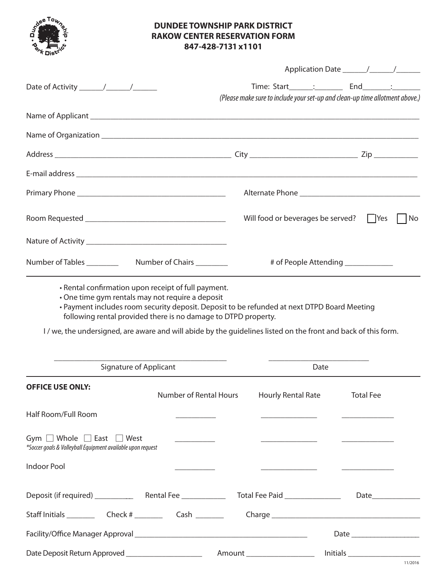

## **DUNDEE TOWNSHIP PARK DISTRICT RAKOW CENTER RESERVATION FORM 847-428-7131 x1101**

|                                                                                                                                                                                |                                                                                                                                                                                                                                                                                                                                                                                                                        |  | Time: Start_______;    ____________    End_________;    ________                                                      |                                                              |  |
|--------------------------------------------------------------------------------------------------------------------------------------------------------------------------------|------------------------------------------------------------------------------------------------------------------------------------------------------------------------------------------------------------------------------------------------------------------------------------------------------------------------------------------------------------------------------------------------------------------------|--|-----------------------------------------------------------------------------------------------------------------------|--------------------------------------------------------------|--|
|                                                                                                                                                                                |                                                                                                                                                                                                                                                                                                                                                                                                                        |  | (Please make sure to include your set-up and clean-up time allotment above.)                                          |                                                              |  |
|                                                                                                                                                                                |                                                                                                                                                                                                                                                                                                                                                                                                                        |  |                                                                                                                       |                                                              |  |
|                                                                                                                                                                                |                                                                                                                                                                                                                                                                                                                                                                                                                        |  |                                                                                                                       |                                                              |  |
|                                                                                                                                                                                |                                                                                                                                                                                                                                                                                                                                                                                                                        |  |                                                                                                                       |                                                              |  |
|                                                                                                                                                                                |                                                                                                                                                                                                                                                                                                                                                                                                                        |  |                                                                                                                       |                                                              |  |
|                                                                                                                                                                                |                                                                                                                                                                                                                                                                                                                                                                                                                        |  |                                                                                                                       |                                                              |  |
|                                                                                                                                                                                |                                                                                                                                                                                                                                                                                                                                                                                                                        |  | Will food or beverages be served?<br>  Yes<br>No                                                                      |                                                              |  |
|                                                                                                                                                                                |                                                                                                                                                                                                                                                                                                                                                                                                                        |  |                                                                                                                       |                                                              |  |
|                                                                                                                                                                                |                                                                                                                                                                                                                                                                                                                                                                                                                        |  | # of People Attending _____________                                                                                   |                                                              |  |
| following rental provided there is no damage to DTPD property.<br>I/we, the undersigned, are aware and will abide by the guidelines listed on the front and back of this form. |                                                                                                                                                                                                                                                                                                                                                                                                                        |  |                                                                                                                       |                                                              |  |
| Signature of Applicant                                                                                                                                                         |                                                                                                                                                                                                                                                                                                                                                                                                                        |  | Date                                                                                                                  |                                                              |  |
| <b>OFFICE USE ONLY:</b>                                                                                                                                                        |                                                                                                                                                                                                                                                                                                                                                                                                                        |  | Number of Rental Hours Hourly Rental Rate                                                                             | <b>Total Fee</b>                                             |  |
| Half Room/Full Room                                                                                                                                                            |                                                                                                                                                                                                                                                                                                                                                                                                                        |  | <u> Alexandria de la contrada de la contrada de la contrada de la contrada de la contrada de la contrada de la co</u> | <u> Alexandria (m. 1888)</u>                                 |  |
| Gym $\Box$ Whole $\Box$ East $\Box$ West<br>*Soccer goals & Volleyball Equipment available upon request                                                                        | $\begin{tabular}{ccccc} \multicolumn{2}{c }{\textbf{1} & \textbf{2} & \textbf{3} & \textbf{4} & \textbf{5} & \textbf{5} & \textbf{6} & \textbf{7} & \textbf{8} & \textbf{9} & \textbf{10} & \textbf{10} & \textbf{10} & \textbf{10} & \textbf{10} & \textbf{10} & \textbf{10} & \textbf{10} & \textbf{10} & \textbf{10} & \textbf{10} & \textbf{10} & \textbf{10} & \textbf{10} & \textbf{10} & \textbf{10} & \textbf$ |  | <u> Alexandro de Alexandro de Alexandro de Alexandro de Alexandro de Alexandro de Alexandro de Alexandro de Alex</u>  |                                                              |  |
| <b>Indoor Pool</b>                                                                                                                                                             |                                                                                                                                                                                                                                                                                                                                                                                                                        |  | <u> 2000 - Andrea Andrewski, politik a postala za ostala za ostala za ostala za ostala za ostala za ostala za ost</u> |                                                              |  |
|                                                                                                                                                                                |                                                                                                                                                                                                                                                                                                                                                                                                                        |  |                                                                                                                       |                                                              |  |
|                                                                                                                                                                                |                                                                                                                                                                                                                                                                                                                                                                                                                        |  |                                                                                                                       |                                                              |  |
|                                                                                                                                                                                |                                                                                                                                                                                                                                                                                                                                                                                                                        |  |                                                                                                                       |                                                              |  |
| Date Deposit Return Approved ____________________                                                                                                                              |                                                                                                                                                                                                                                                                                                                                                                                                                        |  | Amount ____________________                                                                                           | $\boxed{\text{Initials}\xrightarrow{\hspace{0.5cm}}\text{}}$ |  |